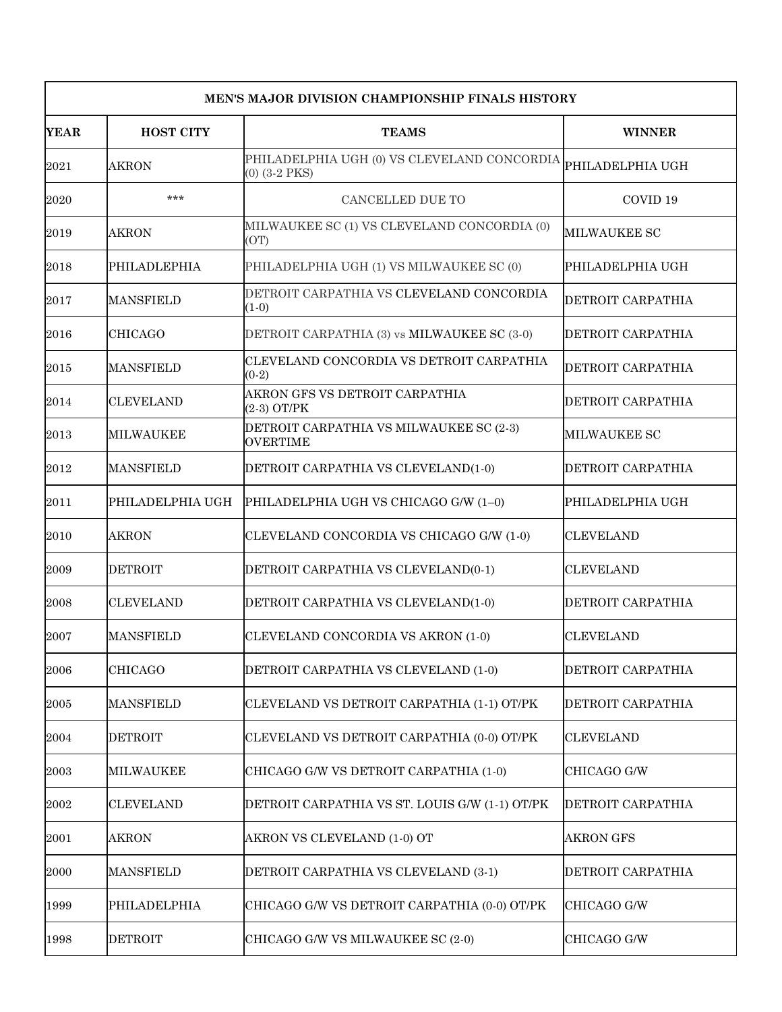| <b>MEN'S MAJOR DIVISION CHAMPIONSHIP FINALS HISTORY</b> |                     |                                                                     |                     |  |
|---------------------------------------------------------|---------------------|---------------------------------------------------------------------|---------------------|--|
| <b>YEAR</b>                                             | <b>HOST CITY</b>    | <b>TEAMS</b>                                                        | <b>WINNER</b>       |  |
| 2021                                                    | AKRON               | PHILADELPHIA UGH (0) VS CLEVELAND CONCORDIA<br>$(0)$ $(3-2$ PKS $)$ | PHILADELPHIA UGH    |  |
| 2020                                                    | $***$               | CANCELLED DUE TO                                                    | COVID <sub>19</sub> |  |
| 2019                                                    | <b>AKRON</b>        | MILWAUKEE SC (1) VS CLEVELAND CONCORDIA (0)<br>(OT)                 | MILWAUKEE SC        |  |
| 2018                                                    | <b>PHILADLEPHIA</b> | PHILADELPHIA UGH (1) VS MILWAUKEE SC (0)                            | PHILADELPHIA UGH    |  |
| 2017                                                    | <b>MANSFIELD</b>    | DETROIT CARPATHIA VS CLEVELAND CONCORDIA<br>$(1-0)$                 | DETROIT CARPATHIA   |  |
| 2016                                                    | <b>CHICAGO</b>      | DETROIT CARPATHIA (3) vs MILWAUKEE SC (3-0)                         | DETROIT CARPATHIA   |  |
| 2015                                                    | <b>MANSFIELD</b>    | CLEVELAND CONCORDIA VS DETROIT CARPATHIA<br>$(0-2)$                 | DETROIT CARPATHIA   |  |
| 2014                                                    | <b>CLEVELAND</b>    | AKRON GFS VS DETROIT CARPATHIA<br>(2-3) OT/PK                       | DETROIT CARPATHIA   |  |
| 2013                                                    | <b>MILWAUKEE</b>    | DETROIT CARPATHIA VS MILWAUKEE SC (2-3)<br><b>OVERTIME</b>          | <b>MILWAUKEE SC</b> |  |
| 2012                                                    | <b>MANSFIELD</b>    | DETROIT CARPATHIA VS CLEVELAND(1-0)                                 | DETROIT CARPATHIA   |  |
| 2011                                                    | PHILADELPHIA UGH    | PHILADELPHIA UGH VS CHICAGO G/W (1-0)                               | PHILADELPHIA UGH    |  |
| 2010                                                    | AKRON               | CLEVELAND CONCORDIA VS CHICAGO G/W (1-0)                            | ICLEVELAND          |  |
| 2009                                                    | <b>DETROIT</b>      | DETROIT CARPATHIA VS CLEVELAND(0-1)                                 | <b>CLEVELAND</b>    |  |
| 2008                                                    | <b>CLEVELAND</b>    | DETROIT CARPATHIA VS CLEVELAND(1-0)                                 | DETROIT CARPATHIA   |  |
| 2007                                                    | <b>MANSFIELD</b>    | CLEVELAND CONCORDIA VS AKRON (1-0)                                  | <b>CLEVELAND</b>    |  |
| 2006                                                    | <b>CHICAGO</b>      | DETROIT CARPATHIA VS CLEVELAND (1-0)                                | DETROIT CARPATHIA   |  |
| 2005                                                    | <b>MANSFIELD</b>    | CLEVELAND VS DETROIT CARPATHIA (1-1) OT/PK                          | DETROIT CARPATHIA   |  |
| 2004                                                    | <b>DETROIT</b>      | CLEVELAND VS DETROIT CARPATHIA (0-0) OT/PK                          | <b>CLEVELAND</b>    |  |
| 2003                                                    | <b>MILWAUKEE</b>    | CHICAGO G/W VS DETROIT CARPATHIA (1-0)                              | CHICAGO G/W         |  |
| 2002                                                    | <b>CLEVELAND</b>    | DETROIT CARPATHIA VS ST. LOUIS G/W (1-1) OT/PK                      | DETROIT CARPATHIA   |  |
| 2001                                                    | <b>AKRON</b>        | AKRON VS CLEVELAND (1-0) OT                                         | AKRON GFS           |  |
| 2000                                                    | <b>MANSFIELD</b>    | DETROIT CARPATHIA VS CLEVELAND (3-1)                                | DETROIT CARPATHIA   |  |
| 1999                                                    | PHILADELPHIA        | CHICAGO G/W VS DETROIT CARPATHIA (0-0) OT/PK                        | CHICAGO G/W         |  |
| 1998                                                    | <b>DETROIT</b>      | CHICAGO G/W VS MILWAUKEE SC (2-0)                                   | CHICAGO G/W         |  |